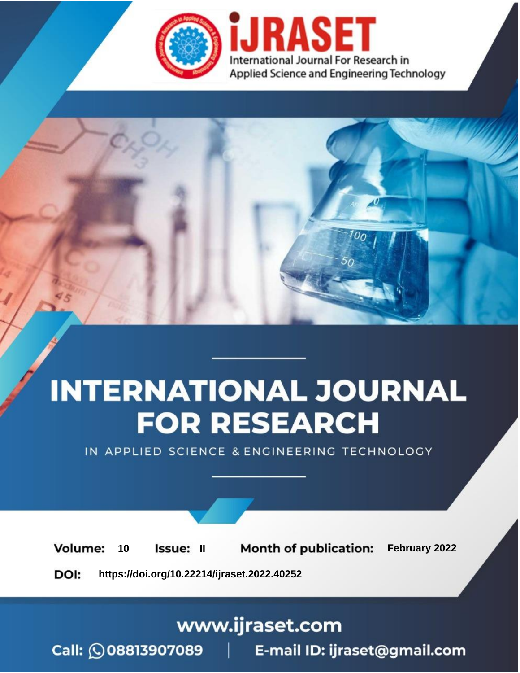

# **INTERNATIONAL JOURNAL FOR RESEARCH**

IN APPLIED SCIENCE & ENGINEERING TECHNOLOGY

**Month of publication:** February 2022 **Volume:** 10 **Issue: II** DOI: https://doi.org/10.22214/ijraset.2022.40252

www.ijraset.com

 $Call: \bigcirc$ 08813907089 E-mail ID: ijraset@gmail.com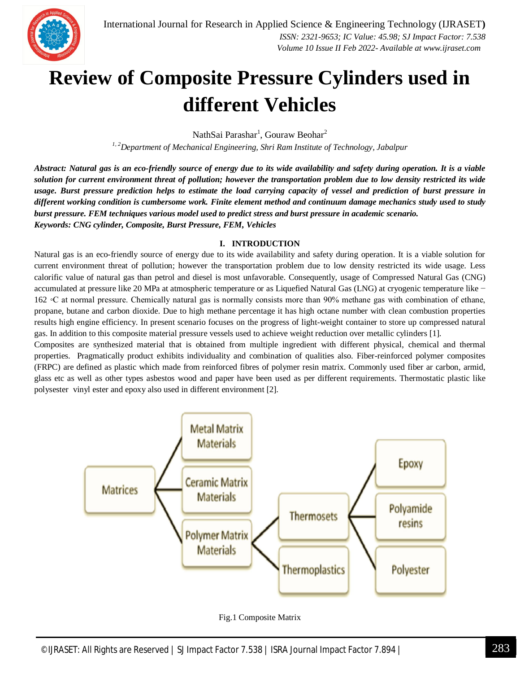

### **Review of Composite Pressure Cylinders used in different Vehicles**

NathSai Parashar<sup>1</sup>, Gouraw Beohar<sup>2</sup>

*1, 2Department of Mechanical Engineering, Shri Ram Institute of Technology, Jabalpur*

*Abstract: Natural gas is an eco-friendly source of energy due to its wide availability and safety during operation. It is a viable solution for current environment threat of pollution; however the transportation problem due to low density restricted its wide usage. Burst pressure prediction helps to estimate the load carrying capacity of vessel and prediction of burst pressure in different working condition is cumbersome work. Finite element method and continuum damage mechanics study used to study burst pressure. FEM techniques various model used to predict stress and burst pressure in academic scenario. Keywords: CNG cylinder, Composite, Burst Pressure, FEM, Vehicles*

#### **I. INTRODUCTION**

Natural gas is an eco-friendly source of energy due to its wide availability and safety during operation. It is a viable solution for current environment threat of pollution; however the transportation problem due to low density restricted its wide usage. Less calorific value of natural gas than petrol and diesel is most unfavorable. Consequently, usage of Compressed Natural Gas (CNG) accumulated at pressure like 20 MPa at atmospheric temperature or as Liquefied Natural Gas (LNG) at cryogenic temperature like − 162 ◦C at normal pressure. Chemically natural gas is normally consists more than 90% methane gas with combination of ethane, propane, butane and carbon dioxide. Due to high methane percentage it has high octane number with clean combustion properties results high engine efficiency. In present scenario focuses on the progress of light-weight container to store up compressed natural gas. In addition to this composite material pressure vessels used to achieve weight reduction over metallic cylinders [1].

Composites are synthesized material that is obtained from multiple ingredient with different physical, chemical and thermal properties. Pragmatically product exhibits individuality and combination of qualities also. Fiber-reinforced polymer composites (FRPC) are defined as plastic which made from reinforced fibres of polymer resin matrix. Commonly used fiber ar carbon, armid, glass etc as well as other types asbestos wood and paper have been used as per different requirements. Thermostatic plastic like polysester vinyl ester and epoxy also used in different environment [2].



Fig.1 Composite Matrix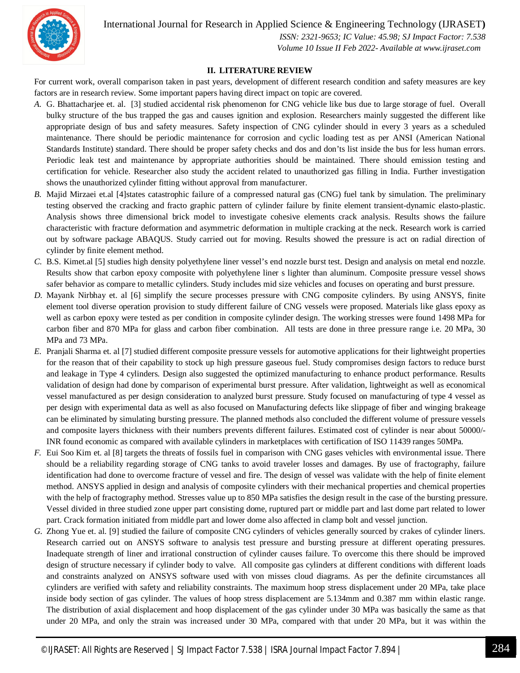International Journal for Research in Applied Science & Engineering Technology (IJRASET**)**

 *ISSN: 2321-9653; IC Value: 45.98; SJ Impact Factor: 7.538 Volume 10 Issue II Feb 2022- Available at www.ijraset.com*

#### **II. LITERATURE REVIEW**

For current work, overall comparison taken in past years, development of different research condition and safety measures are key factors are in research review. Some important papers having direct impact on topic are covered.

- *A.* G. Bhattacharjee et. al. [3] studied accidental risk phenomenon for CNG vehicle like bus due to large storage of fuel. Overall bulky structure of the bus trapped the gas and causes ignition and explosion. Researchers mainly suggested the different like appropriate design of bus and safety measures. Safety inspection of CNG cylinder should in every 3 years as a scheduled maintenance. There should be periodic maintenance for corrosion and cyclic loading test as per ANSI (American National Standards Institute) standard. There should be proper safety checks and dos and don'ts list inside the bus for less human errors. Periodic leak test and maintenance by appropriate authorities should be maintained. There should emission testing and certification for vehicle. Researcher also study the accident related to unauthorized gas filling in India. Further investigation shows the unauthorized cylinder fitting without approval from manufacturer.
- *B.* Majid Mirzaei et.al [4]states catastrophic failure of a compressed natural gas (CNG) fuel tank by simulation. The preliminary testing observed the cracking and fracto graphic pattern of cylinder failure by finite element transient-dynamic elasto-plastic. Analysis shows three dimensional brick model to investigate cohesive elements crack analysis. Results shows the failure characteristic with fracture deformation and asymmetric deformation in multiple cracking at the neck. Research work is carried out by software package ABAQUS. Study carried out for moving. Results showed the pressure is act on radial direction of cylinder by finite element method.
- *C.* B.S. Kimet.al [5] studies high density polyethylene liner vessel's end nozzle burst test. Design and analysis on metal end nozzle. Results show that carbon epoxy composite with polyethylene liner s lighter than aluminum. Composite pressure vessel shows safer behavior as compare to metallic cylinders. Study includes mid size vehicles and focuses on operating and burst pressure.
- *D.* Mayank Nirbhay et. al [6] simplify the secure processes pressure with CNG composite cylinders. By using ANSYS, finite element tool diverse operation provision to study different failure of CNG vessels were proposed. Materials like glass epoxy as well as carbon epoxy were tested as per condition in composite cylinder design. The working stresses were found 1498 MPa for carbon fiber and 870 MPa for glass and carbon fiber combination. All tests are done in three pressure range i.e. 20 MPa, 30 MPa and 73 MPa.
- *E.* Pranjali Sharma et. al [7] studied different composite pressure vessels for automotive applications for their lightweight properties for the reason that of their capability to stock up high pressure gaseous fuel. Study compromises design factors to reduce burst and leakage in Type 4 cylinders. Design also suggested the optimized manufacturing to enhance product performance. Results validation of design had done by comparison of experimental burst pressure. After validation, lightweight as well as economical vessel manufactured as per design consideration to analyzed burst pressure. Study focused on manufacturing of type 4 vessel as per design with experimental data as well as also focused on Manufacturing defects like slippage of fiber and winging brakeage can be eliminated by simulating bursting pressure. The planned methods also concluded the different volume of pressure vessels and composite layers thickness with their numbers prevents different failures. Estimated cost of cylinder is near about 50000/- INR found economic as compared with available cylinders in marketplaces with certification of ISO 11439 ranges 50MPa.
- *F.* Eui Soo Kim et. al [8] targets the threats of fossils fuel in comparison with CNG gases vehicles with environmental issue. There should be a reliability regarding storage of CNG tanks to avoid traveler losses and damages. By use of fractography, failure identification had done to overcome fracture of vessel and fire. The design of vessel was validate with the help of finite element method. ANSYS applied in design and analysis of composite cylinders with their mechanical properties and chemical properties with the help of fractography method. Stresses value up to 850 MPa satisfies the design result in the case of the bursting pressure. Vessel divided in three studied zone upper part consisting dome, ruptured part or middle part and last dome part related to lower part. Crack formation initiated from middle part and lower dome also affected in clamp bolt and vessel junction.
- *G.* Zhong Yue et. al. [9] studied the failure of composite CNG cylinders of vehicles generally sourced by crakes of cylinder liners. Research carried out on ANSYS software to analysis test pressure and bursting pressure at different operating pressures. Inadequate strength of liner and irrational construction of cylinder causes failure. To overcome this there should be improved design of structure necessary if cylinder body to valve. All composite gas cylinders at different conditions with different loads and constraints analyzed on ANSYS software used with von misses cloud diagrams. As per the definite circumstances all cylinders are verified with safety and reliability constraints. The maximum hoop stress displacement under 20 MPa, take place inside body section of gas cylinder. The values of hoop stress displacement are 5.134mm and 0.387 mm within elastic range. The distribution of axial displacement and hoop displacement of the gas cylinder under 30 MPa was basically the same as that under 20 MPa, and only the strain was increased under 30 MPa, compared with that under 20 MPa, but it was within the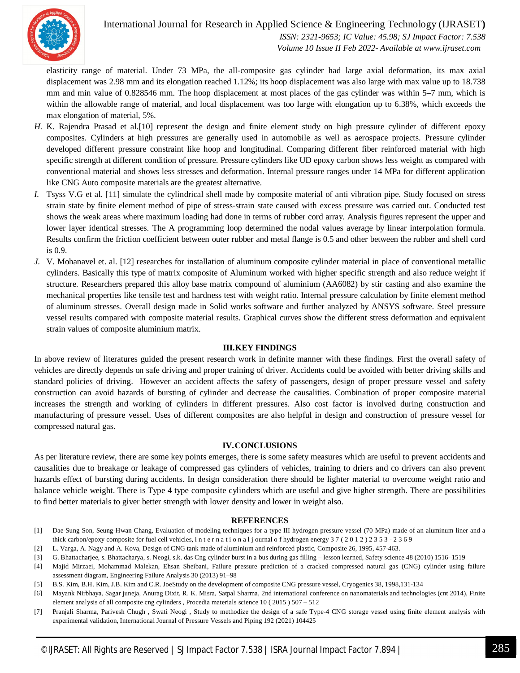

#### International Journal for Research in Applied Science & Engineering Technology (IJRASET**)**

 *ISSN: 2321-9653; IC Value: 45.98; SJ Impact Factor: 7.538 Volume 10 Issue II Feb 2022- Available at www.ijraset.com*

elasticity range of material. Under 73 MPa, the all-composite gas cylinder had large axial deformation, its max axial displacement was 2.98 mm and its elongation reached 1.12%; its hoop displacement was also large with max value up to 18.738 mm and min value of 0.828546 mm. The hoop displacement at most places of the gas cylinder was within 5–7 mm, which is within the allowable range of material, and local displacement was too large with elongation up to 6.38%, which exceeds the max elongation of material, 5%.

- *H.* K. Rajendra Prasad et al.[10] represent the design and finite element study on high pressure cylinder of different epoxy composites. Cylinders at high pressures are generally used in automobile as well as aerospace projects. Pressure cylinder developed different pressure constraint like hoop and longitudinal. Comparing different fiber reinforced material with high specific strength at different condition of pressure. Pressure cylinders like UD epoxy carbon shows less weight as compared with conventional material and shows less stresses and deformation. Internal pressure ranges under 14 MPa for different application like CNG Auto composite materials are the greatest alternative.
- *I.* Tsyss V.G et al. [11] simulate the cylindrical shell made by composite material of anti vibration pipe. Study focused on stress strain state by finite element method of pipe of stress-strain state caused with excess pressure was carried out. Conducted test shows the weak areas where maximum loading had done in terms of rubber cord array. Analysis figures represent the upper and lower layer identical stresses. The A programming loop determined the nodal values average by linear interpolation formula. Results confirm the friction coefficient between outer rubber and metal flange is 0.5 and other between the rubber and shell cord is 0.9.
- *J.* V. Mohanavel et. al. [12] researches for installation of aluminum composite cylinder material in place of conventional metallic cylinders. Basically this type of matrix composite of Aluminum worked with higher specific strength and also reduce weight if structure. Researchers prepared this alloy base matrix compound of aluminium (AA6082) by stir casting and also examine the mechanical properties like tensile test and hardness test with weight ratio. Internal pressure calculation by finite element method of aluminum stresses. Overall design made in Solid works software and further analyzed by ANSYS software. Steel pressure vessel results compared with composite material results. Graphical curves show the different stress deformation and equivalent strain values of composite aluminium matrix.

#### **III.KEY FINDINGS**

In above review of literatures guided the present research work in definite manner with these findings. First the overall safety of vehicles are directly depends on safe driving and proper training of driver. Accidents could be avoided with better driving skills and standard policies of driving. However an accident affects the safety of passengers, design of proper pressure vessel and safety construction can avoid hazards of bursting of cylinder and decrease the causalities. Combination of proper composite material increases the strength and working of cylinders in different pressures. Also cost factor is involved during construction and manufacturing of pressure vessel. Uses of different composites are also helpful in design and construction of pressure vessel for compressed natural gas.

#### **IV.CONCLUSIONS**

As per literature review, there are some key points emerges, there is some safety measures which are useful to prevent accidents and causalities due to breakage or leakage of compressed gas cylinders of vehicles, training to driers and co drivers can also prevent hazards effect of bursting during accidents. In design consideration there should be lighter material to overcome weight ratio and balance vehicle weight. There is Type 4 type composite cylinders which are useful and give higher strength. There are possibilities to find better materials to giver better strength with lower density and lower in weight also.

#### **REFERENCES**

- [1] Dae-Sung Son, Seung-Hwan Chang, Evaluation of modeling techniques for a type III hydrogen pressure vessel (70 MPa) made of an aluminum liner and a thick carbon/epoxy composite for fuel cell vehicles, i n t e r n a t i o n a l j ournal o f hydrogen energy 3 7 ( 2 0 1 2 ) 2 3 5 3 - 2 3 6 9
- [2] L. Varga, A. Nagy and A. Kova, Design of CNG tank made of aluminium and reinforced plastic, Composite 26, 1995, 457-463.
- [3] G. Bhattacharjee, s. Bhattacharya, s. Neogi, s.k. das Cng cylinder burst in a bus during gas filling lesson learned, Safety science 48 (2010) 1516–1519
- [4] Majid Mirzaei, Mohammad Malekan, Ehsan Sheibani, Failure pressure prediction of a cracked compressed natural gas (CNG) cylinder using failure assessment diagram, Engineering Failure Analysis 30 (2013) 91–98
- [5] B.S. Kim, B.H. Kim, J.B. Kim and C.R. JoeStudy on the development of composite CNG pressure vessel, Cryogenics 38, 1998,131-134
- [6] Mayank Nirbhaya, Sagar juneja, Anurag Dixit, R. K. Misra, Satpal Sharma, 2nd international conference on nanomaterials and technologies (cnt 2014), Finite element analysis of all composite cng cylinders , Procedia materials science 10 ( 2015 ) 507 – 512
- [7] Pranjali Sharma, Parivesh Chugh , Swati Neogi , Study to methodize the design of a safe Type-4 CNG storage vessel using finite element analysis with experimental validation, International Journal of Pressure Vessels and Piping 192 (2021) 104425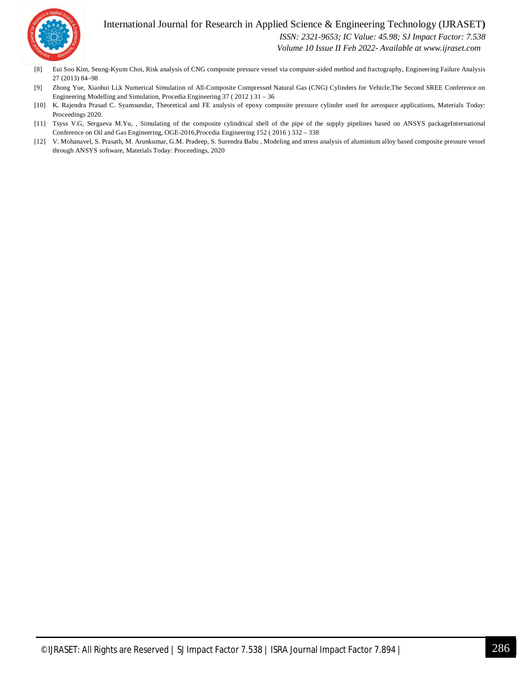#### International Journal for Research in Applied Science & Engineering Technology (IJRASET**)**



 *ISSN: 2321-9653; IC Value: 45.98; SJ Impact Factor: 7.538*

 *Volume 10 Issue II Feb 2022- Available at www.ijraset.com*

- [8] Eui Soo Kim, Seung-Kyum Choi, Risk analysis of CNG composite pressure vessel via computer-aided method and fractography, Engineering Failure Analysis 27 (2013) 84–98
- [9] Zhong Yue, Xiaohui Li,k Numerical Simulation of All-Composite Compressed Natural Gas (CNG) Cylinders for Vehicle,The Second SREE Conference on Engineering Modelling and Simulation, Procedia Engineering 37 ( 2012 ) 31 – 36
- [10] K. Rajendra Prasad C. Syamsundar, Theoretical and FE analysis of epoxy composite pressure cylinder used for aerospace applications, Materials Today: Proceedings 2020.
- [11] Tsyss V.G, Sergaeva M.Yu, , Simulating of the composite cylindrical shell of the pipe of the supply pipelines based on ANSYS packageInternational Conference on Oil and Gas Engineering, OGE-2016,Procedia Engineering 152 ( 2016 ) 332 – 338
- [12] V. Mohanavel, S. Prasath, M. Arunkumar, G.M. Pradeep, S. Surendra Babu , Modeling and stress analysis of aluminium alloy based composite pressure vessel through ANSYS software, Materials Today: Proceedings, 2020